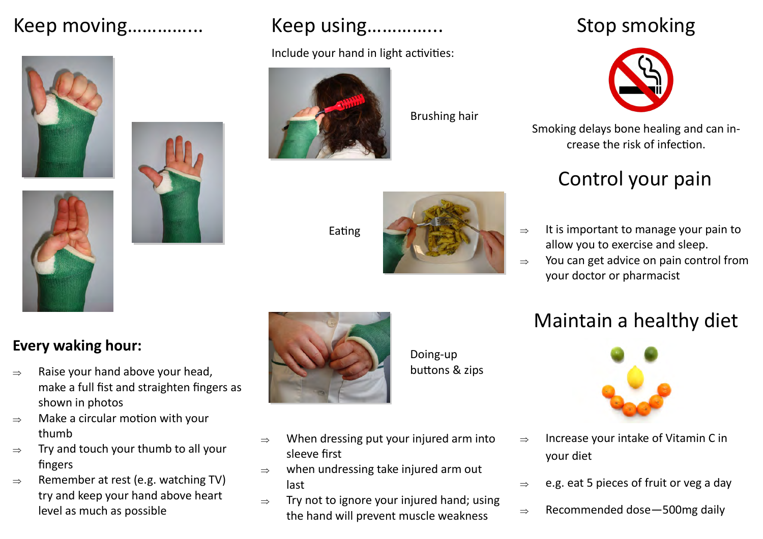# Keep moving…………... Keep using…………...





#### Include your hand in light activities:



Brushing hair





Stop smoking



Smoking delays bone healing and can increase the risk of infection.

# Control your pain

- $\Rightarrow$  It is important to manage your pain to allow you to exercise and sleep.
- $\Rightarrow$  You can get advice on pain control from your doctor or pharmacist

## Maintain a healthy diet



- $\Rightarrow$  Increase your intake of Vitamin C in your diet
- $\Rightarrow$  e.g. eat 5 pieces of fruit or veg a day
- $\Rightarrow$  Recommended dose 500mg daily

### **Every waking hour:**

- $\Rightarrow$  Raise your hand above your head, make a full fist and straighten fingers as shown in photos
- $\Rightarrow$  Make a circular motion with your thumb
- $\Rightarrow$  Try and touch your thumb to all your fingers
- $\Rightarrow$  Remember at rest (e.g. watching TV) try and keep your hand above heart level as much as possible



Doing-up buttons & zips

 $\Rightarrow$  When dressing put your injured arm into sleeve first

- $\Rightarrow$  when undressing take injured arm out last
- $\Rightarrow$  Try not to ignore your injured hand; using the hand will prevent muscle weakness